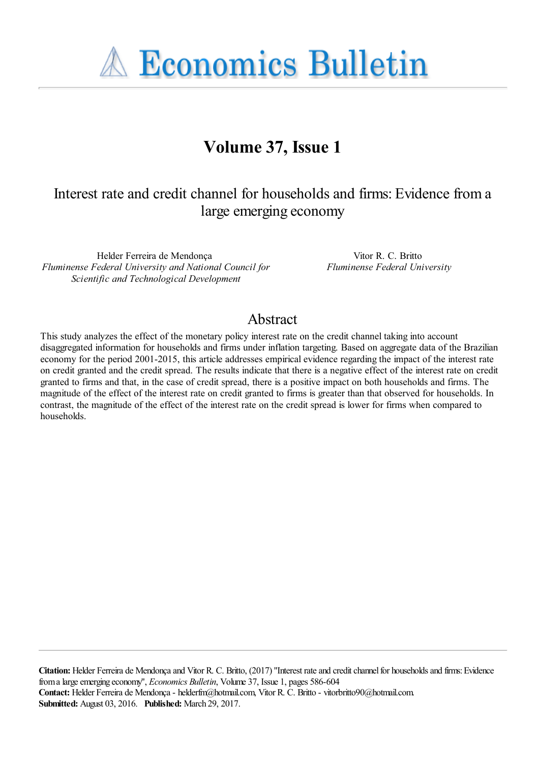**A Economics Bulletin** 

# **Volume 37, Issue 1**

# Interest rate and credit channel for households and firms: Evidence from a large emerging economy

Helder Ferreira de Mendonça *Fluminense Federal University and National Council for Scientific and Technological Development*

Vitor R. C. Britto *Fluminense Federal University*

### Abstract

This study analyzes the effect of the monetary policy interest rate on the credit channel taking into account disaggregated information for households and firms under inflation targeting. Based on aggregate data of the Brazilian economy for the period 2001-2015, this article addresses empirical evidence regarding the impact of the interest rate on credit granted and the credit spread. The results indicate that there is a negative effect of the interest rate on credit granted to firms and that, in the case of credit spread, there is a positive impact on both households and firms. The magnitude of the effect of the interest rate on credit granted to firms is greater than that observed for households. In contrast, the magnitude of the effect of the interest rate on the credit spread is lower for firms when compared to households.

**Citation:** Helder Ferreira de Mendonça and Vitor R. C. Britto, (2017) ''Interest rate and credit channel for households and firms: Evidence from a large emerging economy'', *Economics Bulletin*, Volume 37, Issue 1, pages 586-604 **Contact:** Helder Ferreira de Mendonça - helderfm@hotmail.com, Vitor R. C. Britto - vitorbritto90@hotmail.com. **Submitted:** August 03, 2016. **Published:** March 29, 2017.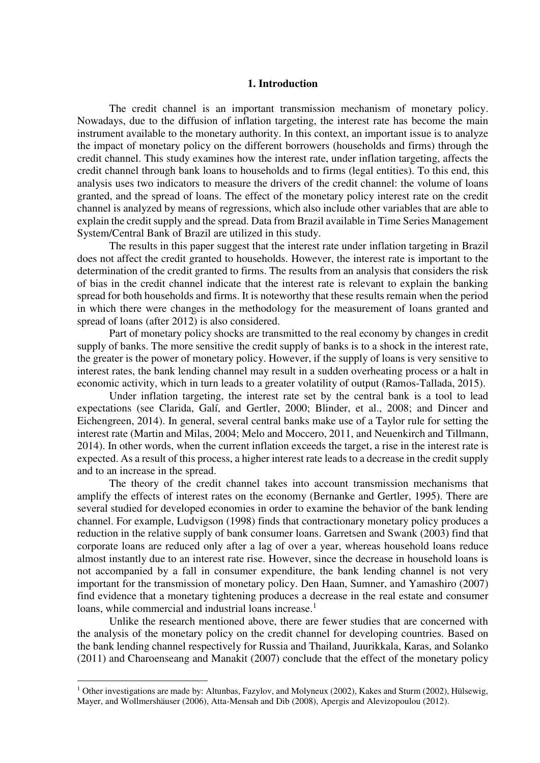#### **1. Introduction**

 The credit channel is an important transmission mechanism of monetary policy. Nowadays, due to the diffusion of inflation targeting, the interest rate has become the main instrument available to the monetary authority. In this context, an important issue is to analyze the impact of monetary policy on the different borrowers (households and firms) through the credit channel. This study examines how the interest rate, under inflation targeting, affects the credit channel through bank loans to households and to firms (legal entities). To this end, this analysis uses two indicators to measure the drivers of the credit channel: the volume of loans granted, and the spread of loans. The effect of the monetary policy interest rate on the credit channel is analyzed by means of regressions, which also include other variables that are able to explain the credit supply and the spread. Data from Brazil available in Time Series Management System/Central Bank of Brazil are utilized in this study.

 The results in this paper suggest that the interest rate under inflation targeting in Brazil does not affect the credit granted to households. However, the interest rate is important to the determination of the credit granted to firms. The results from an analysis that considers the risk of bias in the credit channel indicate that the interest rate is relevant to explain the banking spread for both households and firms. It is noteworthy that these results remain when the period in which there were changes in the methodology for the measurement of loans granted and spread of loans (after 2012) is also considered.

 Part of monetary policy shocks are transmitted to the real economy by changes in credit supply of banks. The more sensitive the credit supply of banks is to a shock in the interest rate, the greater is the power of monetary policy. However, if the supply of loans is very sensitive to interest rates, the bank lending channel may result in a sudden overheating process or a halt in economic activity, which in turn leads to a greater volatility of output (Ramos-Tallada, 2015).

Under inflation targeting, the interest rate set by the central bank is a tool to lead expectations (see Clarida, Galí, and Gertler, 2000; Blinder, et al., 2008; and Dincer and Eichengreen, 2014). In general, several central banks make use of a Taylor rule for setting the interest rate (Martin and Milas, 2004; Melo and Moccero, 2011, and Neuenkirch and Tillmann, 2014). In other words, when the current inflation exceeds the target, a rise in the interest rate is expected. As a result of this process, a higher interest rate leads to a decrease in the credit supply and to an increase in the spread.

The theory of the credit channel takes into account transmission mechanisms that amplify the effects of interest rates on the economy (Bernanke and Gertler, 1995). There are several studied for developed economies in order to examine the behavior of the bank lending channel. For example, Ludvigson (1998) finds that contractionary monetary policy produces a reduction in the relative supply of bank consumer loans. Garretsen and Swank (2003) find that corporate loans are reduced only after a lag of over a year, whereas household loans reduce almost instantly due to an interest rate rise. However, since the decrease in household loans is not accompanied by a fall in consumer expenditure, the bank lending channel is not very important for the transmission of monetary policy. Den Haan, Sumner, and Yamashiro (2007) find evidence that a monetary tightening produces a decrease in the real estate and consumer loans, while commercial and industrial loans increase.<sup>1</sup>

Unlike the research mentioned above, there are fewer studies that are concerned with the analysis of the monetary policy on the credit channel for developing countries. Based on the bank lending channel respectively for Russia and Thailand, Juurikkala, Karas, and Solanko (2011) and Charoenseang and Manakit (2007) conclude that the effect of the monetary policy

<sup>&</sup>lt;sup>1</sup> Other investigations are made by: Altunbas, Fazylov, and Molyneux (2002), Kakes and Sturm (2002), Hülsewig, Mayer, and Wollmershäuser (2006), Atta-Mensah and Dib (2008), Apergis and Alevizopoulou (2012).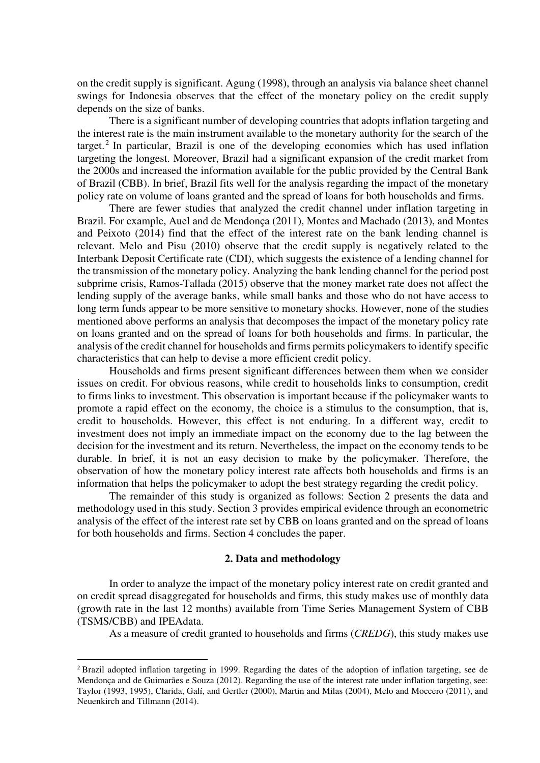on the credit supply is significant. Agung (1998), through an analysis via balance sheet channel swings for Indonesia observes that the effect of the monetary policy on the credit supply depends on the size of banks.

There is a significant number of developing countries that adopts inflation targeting and the interest rate is the main instrument available to the monetary authority for the search of the target.<sup>2</sup> In particular, Brazil is one of the developing economies which has used inflation targeting the longest. Moreover, Brazil had a significant expansion of the credit market from the 2000s and increased the information available for the public provided by the Central Bank of Brazil (CBB). In brief, Brazil fits well for the analysis regarding the impact of the monetary policy rate on volume of loans granted and the spread of loans for both households and firms.

There are fewer studies that analyzed the credit channel under inflation targeting in Brazil. For example, Auel and de Mendonça (2011), Montes and Machado (2013), and Montes and Peixoto (2014) find that the effect of the interest rate on the bank lending channel is relevant. Melo and Pisu (2010) observe that the credit supply is negatively related to the Interbank Deposit Certificate rate (CDI), which suggests the existence of a lending channel for the transmission of the monetary policy. Analyzing the bank lending channel for the period post subprime crisis, Ramos-Tallada (2015) observe that the money market rate does not affect the lending supply of the average banks, while small banks and those who do not have access to long term funds appear to be more sensitive to monetary shocks. However, none of the studies mentioned above performs an analysis that decomposes the impact of the monetary policy rate on loans granted and on the spread of loans for both households and firms. In particular, the analysis of the credit channel for households and firms permits policymakers to identify specific characteristics that can help to devise a more efficient credit policy.

Households and firms present significant differences between them when we consider issues on credit. For obvious reasons, while credit to households links to consumption, credit to firms links to investment. This observation is important because if the policymaker wants to promote a rapid effect on the economy, the choice is a stimulus to the consumption, that is, credit to households. However, this effect is not enduring. In a different way, credit to investment does not imply an immediate impact on the economy due to the lag between the decision for the investment and its return. Nevertheless, the impact on the economy tends to be durable. In brief, it is not an easy decision to make by the policymaker. Therefore, the observation of how the monetary policy interest rate affects both households and firms is an information that helps the policymaker to adopt the best strategy regarding the credit policy.

 The remainder of this study is organized as follows: Section 2 presents the data and methodology used in this study. Section 3 provides empirical evidence through an econometric analysis of the effect of the interest rate set by CBB on loans granted and on the spread of loans for both households and firms. Section 4 concludes the paper.

#### **2. Data and methodology**

 In order to analyze the impact of the monetary policy interest rate on credit granted and on credit spread disaggregated for households and firms, this study makes use of monthly data (growth rate in the last 12 months) available from Time Series Management System of CBB (TSMS/CBB) and IPEAdata.

As a measure of credit granted to households and firms (*CREDG*), this study makes use

<sup>&</sup>lt;sup>2</sup> Brazil adopted inflation targeting in 1999. Regarding the dates of the adoption of inflation targeting, see de Mendonça and de Guimarães e Souza (2012). Regarding the use of the interest rate under inflation targeting, see: Taylor (1993, 1995), Clarida, Galí, and Gertler (2000), Martin and Milas (2004), Melo and Moccero (2011), and Neuenkirch and Tillmann (2014).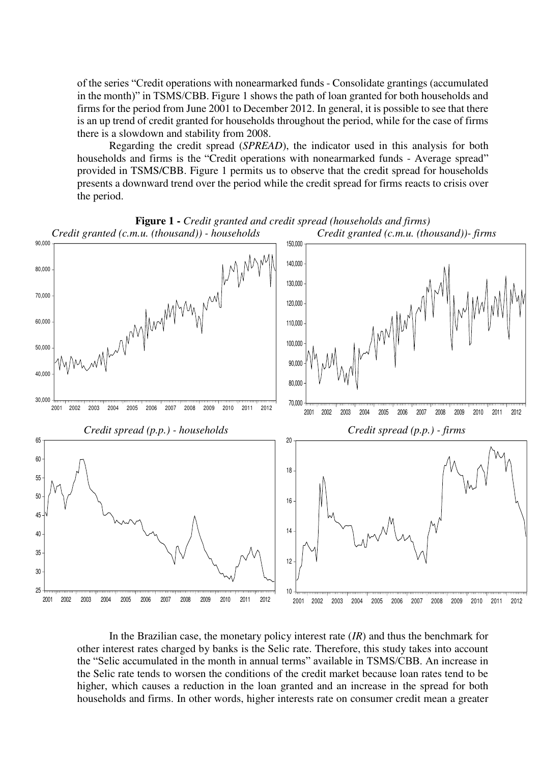of the series "Credit operations with nonearmarked funds - Consolidate grantings (accumulated in the month)" in TSMS/CBB. Figure 1 shows the path of loan granted for both households and firms for the period from June 2001 to December 2012. In general, it is possible to see that there is an up trend of credit granted for households throughout the period, while for the case of firms there is a slowdown and stability from 2008.

 Regarding the credit spread (*SPREAD*), the indicator used in this analysis for both households and firms is the "Credit operations with nonearmarked funds - Average spread" provided in TSMS/CBB. Figure 1 permits us to observe that the credit spread for households presents a downward trend over the period while the credit spread for firms reacts to crisis over the period.



In the Brazilian case, the monetary policy interest rate (*IR*) and thus the benchmark for other interest rates charged by banks is the Selic rate. Therefore, this study takes into account the "Selic accumulated in the month in annual terms" available in TSMS/CBB. An increase in the Selic rate tends to worsen the conditions of the credit market because loan rates tend to be higher, which causes a reduction in the loan granted and an increase in the spread for both households and firms. In other words, higher interests rate on consumer credit mean a greater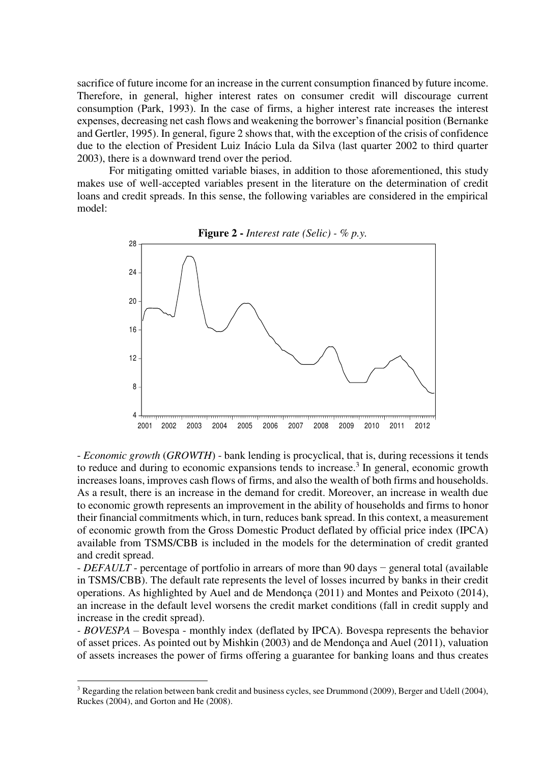sacrifice of future income for an increase in the current consumption financed by future income. Therefore, in general, higher interest rates on consumer credit will discourage current consumption (Park, 1993). In the case of firms, a higher interest rate increases the interest expenses, decreasing net cash flows and weakening the borrower's financial position (Bernanke and Gertler, 1995). In general, figure 2 shows that, with the exception of the crisis of confidence due to the election of President Luiz Inácio Lula da Silva (last quarter 2002 to third quarter 2003), there is a downward trend over the period.

 For mitigating omitted variable biases, in addition to those aforementioned, this study makes use of well-accepted variables present in the literature on the determination of credit loans and credit spreads. In this sense, the following variables are considered in the empirical model:



**Figure 2 -** *Interest rate (Selic) - % p.y.* 

- *Economic growth* (*GROWTH*) - bank lending is procyclical, that is, during recessions it tends to reduce and during to economic expansions tends to increase.<sup>3</sup> In general, economic growth increases loans, improves cash flows of firms, and also the wealth of both firms and households. As a result, there is an increase in the demand for credit. Moreover, an increase in wealth due to economic growth represents an improvement in the ability of households and firms to honor their financial commitments which, in turn, reduces bank spread. In this context, a measurement of economic growth from the Gross Domestic Product deflated by official price index (IPCA) available from TSMS/CBB is included in the models for the determination of credit granted and credit spread.

- *DEFAULT* - percentage of portfolio in arrears of more than 90 days − general total (available in TSMS/CBB). The default rate represents the level of losses incurred by banks in their credit operations. As highlighted by Auel and de Mendonça (2011) and Montes and Peixoto (2014), an increase in the default level worsens the credit market conditions (fall in credit supply and increase in the credit spread).

*- BOVESPA* – Bovespa - monthly index (deflated by IPCA). Bovespa represents the behavior of asset prices. As pointed out by Mishkin (2003) and de Mendonça and Auel (2011), valuation of assets increases the power of firms offering a guarantee for banking loans and thus creates

 $3$  Regarding the relation between bank credit and business cycles, see Drummond (2009), Berger and Udell (2004), Ruckes (2004), and Gorton and He (2008).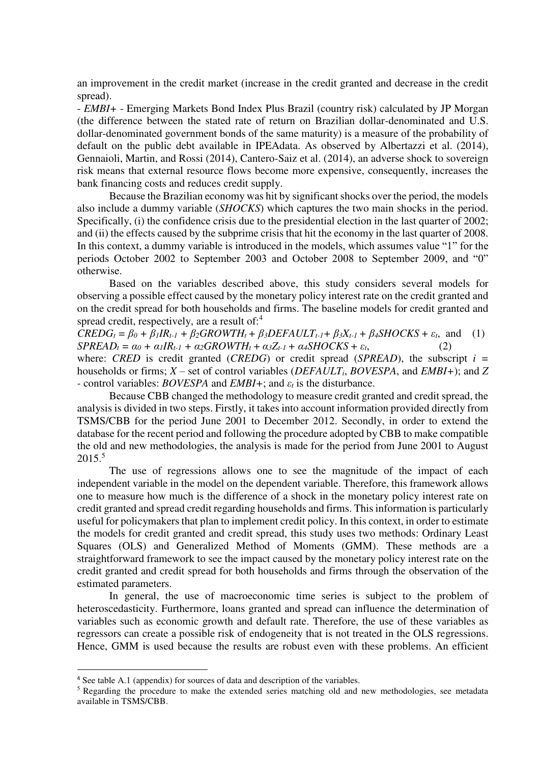an improvement in the credit market (increase in the credit granted and decrease in the credit spread).

- *EMBI+* - Emerging Markets Bond Index Plus Brazil (country risk) calculated by JP Morgan (the difference between the stated rate of return on Brazilian dollar-denominated and U.S. dollar-denominated government bonds of the same maturity) is a measure of the probability of default on the public debt available in IPEAdata. As observed by Albertazzi et al. (2014), Gennaioli, Martin, and Rossi (2014), Cantero-Saiz et al. (2014), an adverse shock to sovereign risk means that external resource flows become more expensive, consequently, increases the bank financing costs and reduces credit supply.

 Because the Brazilian economy was hit by significant shocks over the period, the models also include a dummy variable (*SHOCKS*) which captures the two main shocks in the period. Specifically, (i) the confidence crisis due to the presidential election in the last quarter of 2002; and (ii) the effects caused by the subprime crisis that hit the economy in the last quarter of 2008. In this context, a dummy variable is introduced in the models, which assumes value "1" for the periods October 2002 to September 2003 and October 2008 to September 2009, and "0" otherwise.

 Based on the variables described above, this study considers several models for observing a possible effect caused by the monetary policy interest rate on the credit granted and on the credit spread for both households and firms. The baseline models for credit granted and spread credit, respectively, are a result of:<sup>4</sup>

 $CREDG_t = \beta_0 + \beta_1 IR_{t-1} + \beta_2 GROWTH_t + \beta_3 DEFAULT_{t-1} + \beta_3 X_{t-1} + \beta_4 SHOCKS + \varepsilon_t$ , and (1)  $SPREAD_t = \alpha_0 + \alpha_1 IR_{t-1} + \alpha_2 GROWTH_t + \alpha_3 Z_{t-1} + \alpha_4 SHOCKS + \varepsilon_t,$  (2)

where: *CRED* is credit granted (*CREDG*) or credit spread (*SPREAD*), the subscript  $i =$ households or firms; *X* – set of control variables (*DEFAULTi*, *BOVESPA*, and *EMBI+*); and *Z -* control variables: *BOVESPA* and *EMBI+*; and *εt* is the disturbance.

 Because CBB changed the methodology to measure credit granted and credit spread, the analysis is divided in two steps. Firstly, it takes into account information provided directly from TSMS/CBB for the period June 2001 to December 2012. Secondly, in order to extend the database for the recent period and following the procedure adopted by CBB to make compatible the old and new methodologies, the analysis is made for the period from June 2001 to August 2015.<sup>5</sup>

 The use of regressions allows one to see the magnitude of the impact of each independent variable in the model on the dependent variable. Therefore, this framework allows one to measure how much is the difference of a shock in the monetary policy interest rate on credit granted and spread credit regarding households and firms. This information is particularly useful for policymakers that plan to implement credit policy. In this context, in order to estimate the models for credit granted and credit spread, this study uses two methods: Ordinary Least Squares (OLS) and Generalized Method of Moments (GMM). These methods are a straightforward framework to see the impact caused by the monetary policy interest rate on the credit granted and credit spread for both households and firms through the observation of the estimated parameters.

In general, the use of macroeconomic time series is subject to the problem of heteroscedasticity. Furthermore, loans granted and spread can influence the determination of variables such as economic growth and default rate. Therefore, the use of these variables as regressors can create a possible risk of endogeneity that is not treated in the OLS regressions. Hence, GMM is used because the results are robust even with these problems. An efficient

<sup>4</sup> See table A.1 (appendix) for sources of data and description of the variables.

<sup>&</sup>lt;sup>5</sup> Regarding the procedure to make the extended series matching old and new methodologies, see metadata available in TSMS/CBB.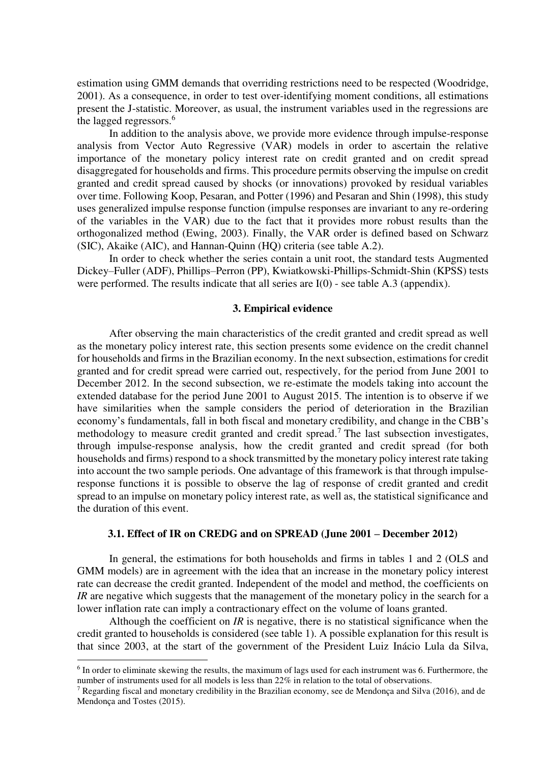estimation using GMM demands that overriding restrictions need to be respected (Woodridge, 2001). As a consequence, in order to test over-identifying moment conditions, all estimations present the J-statistic. Moreover, as usual, the instrument variables used in the regressions are the lagged regressors.<sup>6</sup>

In addition to the analysis above, we provide more evidence through impulse-response analysis from Vector Auto Regressive (VAR) models in order to ascertain the relative importance of the monetary policy interest rate on credit granted and on credit spread disaggregated for households and firms. This procedure permits observing the impulse on credit granted and credit spread caused by shocks (or innovations) provoked by residual variables over time. Following Koop, Pesaran, and Potter (1996) and Pesaran and Shin (1998), this study uses generalized impulse response function (impulse responses are invariant to any re-ordering of the variables in the VAR) due to the fact that it provides more robust results than the orthogonalized method (Ewing, 2003). Finally, the VAR order is defined based on Schwarz (SIC), Akaike (AIC), and Hannan-Quinn (HQ) criteria (see table A.2).

In order to check whether the series contain a unit root, the standard tests Augmented Dickey–Fuller (ADF), Phillips–Perron (PP), Kwiatkowski-Phillips-Schmidt-Shin (KPSS) tests were performed. The results indicate that all series are  $I(0)$  - see table A.3 (appendix).

#### **3. Empirical evidence**

After observing the main characteristics of the credit granted and credit spread as well as the monetary policy interest rate, this section presents some evidence on the credit channel for households and firms in the Brazilian economy. In the next subsection, estimations for credit granted and for credit spread were carried out, respectively, for the period from June 2001 to December 2012. In the second subsection, we re-estimate the models taking into account the extended database for the period June 2001 to August 2015. The intention is to observe if we have similarities when the sample considers the period of deterioration in the Brazilian economy's fundamentals, fall in both fiscal and monetary credibility, and change in the CBB's methodology to measure credit granted and credit spread.<sup>7</sup> The last subsection investigates, through impulse-response analysis, how the credit granted and credit spread (for both households and firms) respond to a shock transmitted by the monetary policy interest rate taking into account the two sample periods. One advantage of this framework is that through impulseresponse functions it is possible to observe the lag of response of credit granted and credit spread to an impulse on monetary policy interest rate, as well as, the statistical significance and the duration of this event.

#### **3.1. Effect of IR on CREDG and on SPREAD (June 2001 – December 2012)**

In general, the estimations for both households and firms in tables 1 and 2 (OLS and GMM models) are in agreement with the idea that an increase in the monetary policy interest rate can decrease the credit granted. Independent of the model and method, the coefficients on *IR* are negative which suggests that the management of the monetary policy in the search for a lower inflation rate can imply a contractionary effect on the volume of loans granted.

Although the coefficient on *IR* is negative, there is no statistical significance when the credit granted to households is considered (see table 1). A possible explanation for this result is that since 2003, at the start of the government of the President Luiz Inácio Lula da Silva,  $\overline{a}$ 

<sup>&</sup>lt;sup>6</sup> In order to eliminate skewing the results, the maximum of lags used for each instrument was 6. Furthermore, the number of instruments used for all models is less than 22% in relation to the total of observations.

<sup>&</sup>lt;sup>7</sup> Regarding fiscal and monetary credibility in the Brazilian economy, see de Mendonça and Silva (2016), and de Mendonça and Tostes (2015).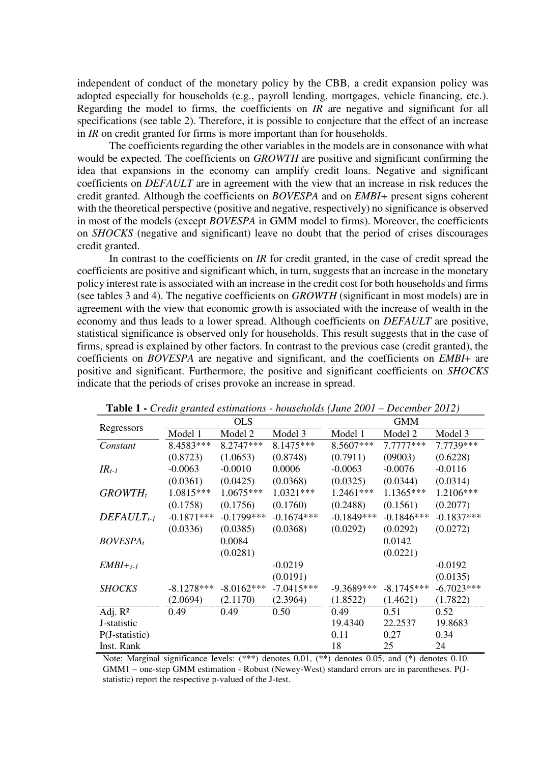independent of conduct of the monetary policy by the CBB, a credit expansion policy was adopted especially for households (e.g., payroll lending, mortgages, vehicle financing, etc.). Regarding the model to firms, the coefficients on *IR* are negative and significant for all specifications (see table 2). Therefore, it is possible to conjecture that the effect of an increase in *IR* on credit granted for firms is more important than for households.

The coefficients regarding the other variables in the models are in consonance with what would be expected. The coefficients on *GROWTH* are positive and significant confirming the idea that expansions in the economy can amplify credit loans. Negative and significant coefficients on *DEFAULT* are in agreement with the view that an increase in risk reduces the credit granted. Although the coefficients on *BOVESPA* and on *EMBI+* present signs coherent with the theoretical perspective (positive and negative, respectively) no significance is observed in most of the models (except *BOVESPA* in GMM model to firms). Moreover, the coefficients on *SHOCKS* (negative and significant) leave no doubt that the period of crises discourages credit granted.

In contrast to the coefficients on *IR* for credit granted, in the case of credit spread the coefficients are positive and significant which, in turn, suggests that an increase in the monetary policy interest rate is associated with an increase in the credit cost for both households and firms (see tables 3 and 4). The negative coefficients on *GROWTH* (significant in most models) are in agreement with the view that economic growth is associated with the increase of wealth in the economy and thus leads to a lower spread. Although coefficients on *DEFAULT* are positive, statistical significance is observed only for households. This result suggests that in the case of firms, spread is explained by other factors. In contrast to the previous case (credit granted), the coefficients on *BOVESPA* are negative and significant, and the coefficients on *EMBI*+ are positive and significant. Furthermore, the positive and significant coefficients on *SHOCKS* indicate that the periods of crises provoke an increase in spread.

|                  | o.           | <b>OLS</b>    |              |              | <b>GMM</b>   |              |
|------------------|--------------|---------------|--------------|--------------|--------------|--------------|
| Regressors       | Model 1      | Model 2       | Model 3      | Model 1      | Model 2      | Model 3      |
| Constant         | 8.4583***    | $8.2747***$   | 8.1475***    | 8.5607***    | $7.7777***$  | 7.7739***    |
|                  | (0.8723)     | (1.0653)      | (0.8748)     | (0.7911)     | (09003)      | (0.6228)     |
| $IR_{t-1}$       | $-0.0063$    | $-0.0010$     | 0.0006       | $-0.0063$    | $-0.0076$    | $-0.0116$    |
|                  | (0.0361)     | (0.0425)      | (0.0368)     | (0.0325)     | (0.0344)     | (0.0314)     |
| $GROWTH_t$       | 1.0815***    | $1.0675***$   | $1.0321***$  | 1.2461***    | 1.1365***    | 1.2106***    |
|                  | (0.1758)     | (0.1756)      | (0.1760)     | (0.2488)     | (0.1561)     | (0.2077)     |
| $DEFAULT_{t-1}$  | $-0.1871***$ | $-0.1799$ *** | $-0.1674***$ | $-0.1849***$ | $-0.1846***$ | $-0.1837***$ |
|                  | (0.0336)     | (0.0385)      | (0.0368)     | (0.0292)     | (0.0292)     | (0.0272)     |
| $BOVESPA_t$      |              | 0.0084        |              |              | 0.0142       |              |
|                  |              | (0.0281)      |              |              | (0.0221)     |              |
| $EMBI+t-1$       |              |               | $-0.0219$    |              |              | $-0.0192$    |
|                  |              |               | (0.0191)     |              |              | (0.0135)     |
| <b>SHOCKS</b>    | $-8.1278***$ | $-8.0162***$  | $-7.0415***$ | $-9.3689***$ | $-8.1745***$ | $-6.7023***$ |
|                  | (2.0694)     | (2.1170)      | (2.3964)     | (1.8522)     | (1.4621)     | (1.7822)     |
| Adj. $R^2$       | 0.49         | 0.49          | 0.50         | 0.49         | 0.51         | 0.52         |
| J-statistic      |              |               |              | 19.4340      | 22.2537      | 19.8683      |
| $P(J-statistic)$ |              |               |              | 0.11         | 0.27         | 0.34         |
| Inst. Rank       |              |               |              | 18           | 25           | 24           |

**Table 1 -** *Credit granted estimations - households (June 2001 – December 2012)* 

Note: Marginal significance levels:  $(***)$  denotes 0.01,  $(**)$  denotes 0.05, and  $(*)$  denotes 0.10. GMM1 – one-step GMM estimation - Robust (Newey-West) standard errors are in parentheses. P(Jstatistic) report the respective p-valued of the J-test.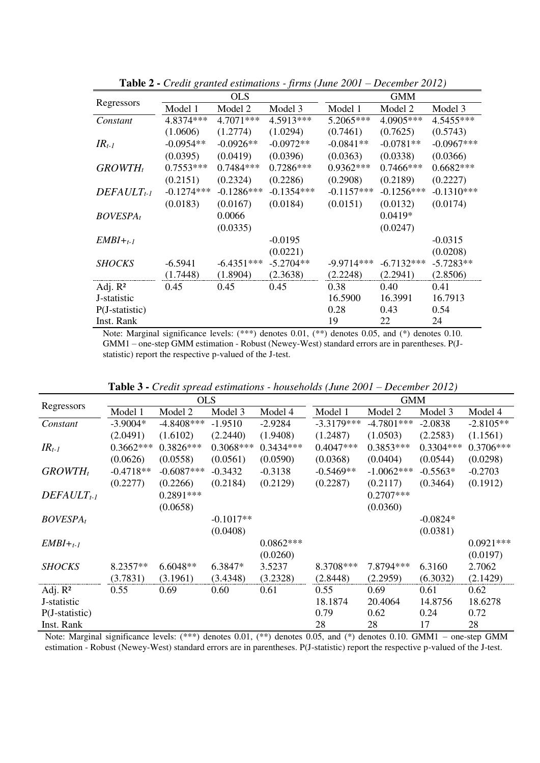|                      |              | <b>OLS</b>   |              |              | <b>GMM</b>   |              |
|----------------------|--------------|--------------|--------------|--------------|--------------|--------------|
| Regressors           | Model 1      | Model 2      | Model 3      | Model 1      | Model 2      | Model 3      |
| Constant             | 4.8374***    | 4.7071***    | 4.5913***    | 5.2065***    | 4.0905***    | 4.5455***    |
|                      | (1.0606)     | (1.2774)     | (1.0294)     | (0.7461)     | (0.7625)     | (0.5743)     |
| $IR_{t-1}$           | $-0.0954**$  | $-0.0926**$  | $-0.0972**$  | $-0.0841**$  | $-0.0781**$  | $-0.0967***$ |
|                      | (0.0395)     | (0.0419)     | (0.0396)     | (0.0363)     | (0.0338)     | (0.0366)     |
| $GROWTH_t$           | $0.7553***$  | $0.7484***$  | $0.7286***$  | $0.9362***$  | $0.7466$ *** | $0.6682***$  |
|                      | (0.2151)     | (0.2324)     | (0.2286)     | (0.2908)     | (0.2189)     | (0.2227)     |
| $DEFAULT_{t-1}$      | $-0.1274***$ | $-0.1286***$ | $-0.1354***$ | $-0.1157***$ | $-0.1256***$ | $-0.1310***$ |
|                      | (0.0183)     | (0.0167)     | (0.0184)     | (0.0151)     | (0.0132)     | (0.0174)     |
| BOVESPA <sub>t</sub> |              | 0.0066       |              |              | $0.0419*$    |              |
|                      |              | (0.0335)     |              |              | (0.0247)     |              |
| $EMBI+t-1$           |              |              | $-0.0195$    |              |              | $-0.0315$    |
|                      |              |              | (0.0221)     |              |              | (0.0208)     |
| <b>SHOCKS</b>        | $-6.5941$    | $-6.4351***$ | $-5.2704**$  | $-9.9714***$ | $-6.7132***$ | $-5.7283**$  |
|                      | (1.7448)     | (1.8904)     | (2.3638)     | (2.2248)     | (2.2941)     | (2.8506)     |
| Adj. $R^2$           | 0.45         | 0.45         | 0.45         | 0.38         | 0.40         | 0.41         |
| J-statistic          |              |              |              | 16.5900      | 16.3991      | 16.7913      |
| $P(J-statistic)$     |              |              |              | 0.28         | 0.43         | 0.54         |
| Inst. Rank           |              |              |              | 19           | 22           | 24           |

**Table 2 -** *Credit granted estimations - firms (June 2001 – December 2012)* 

Note: Marginal significance levels: (\*\*\*) denotes 0.01, (\*\*) denotes 0.05, and (\*) denotes 0.10. GMM1 – one-step GMM estimation - Robust (Newey-West) standard errors are in parentheses. P(Jstatistic) report the respective p-valued of the J-test.

| Regressors       |             | <b>OLS</b>   |             |             | <b>GMM</b>   |              |             |             |  |
|------------------|-------------|--------------|-------------|-------------|--------------|--------------|-------------|-------------|--|
|                  | Model 1     | Model 2      | Model 3     | Model 4     | Model 1      | Model 2      | Model 3     | Model 4     |  |
| Constant         | $-3.9004*$  | $-4.8408***$ | $-1.9510$   | $-2.9284$   | $-3.3179***$ | $-4.7801***$ | $-2.0838$   | $-2.8105**$ |  |
|                  | (2.0491)    | (1.6102)     | (2.2440)    | (1.9408)    | (1.2487)     | (1.0503)     | (2.2583)    | (1.1561)    |  |
| $IR_{t-1}$       | $0.3662***$ | $0.3826***$  | $0.3068***$ | $0.3434***$ | $0.4047***$  | $0.3853***$  | $0.3304***$ | $0.3706***$ |  |
|                  | (0.0626)    | (0.0558)     | (0.0561)    | (0.0590)    | (0.0368)     | (0.0404)     | (0.0544)    | (0.0298)    |  |
| $GROWTH_t$       | $-0.4718**$ | $-0.6087***$ | $-0.3432$   | $-0.3138$   | $-0.5469**$  | $-1.0062***$ | $-0.5563*$  | $-0.2703$   |  |
|                  | (0.2277)    | (0.2266)     | (0.2184)    | (0.2129)    | (0.2287)     | (0.2117)     | (0.3464)    | (0.1912)    |  |
| $DEFAULT_{t-1}$  |             | $0.2891***$  |             |             |              | $0.2707***$  |             |             |  |
|                  |             | (0.0658)     |             |             |              | (0.0360)     |             |             |  |
| $BOVESPA_t$      |             |              | $-0.1017**$ |             |              |              | $-0.0824*$  |             |  |
|                  |             |              | (0.0408)    |             |              |              | (0.0381)    |             |  |
| $EMBI+t-1$       |             |              |             | $0.0862***$ |              |              |             | $0.0921***$ |  |
|                  |             |              |             | (0.0260)    |              |              |             | (0.0197)    |  |
| <b>SHOCKS</b>    | 8.2357**    | $6.6048**$   | 6.3847*     | 3.5237      | 8.3708***    | 7.8794 ***   | 6.3160      | 2.7062      |  |
|                  | (3.7831)    | (3.1961)     | (3.4348)    | (3.2328)    | (2.8448)     | (2.2959)     | (6.3032)    | (2.1429)    |  |
| Adj. $R^2$       | 0.55        | 0.69         | 0.60        | 0.61        | 0.55         | 0.69         | 0.61        | 0.62        |  |
| J-statistic      |             |              |             |             | 18.1874      | 20.4064      | 14.8756     | 18.6278     |  |
| $P(J-statistic)$ |             |              |             |             | 0.79         | 0.62         | 0.24        | 0.72        |  |
| Inst. Rank       |             |              |             |             | 28           | 28           | 17          | 28          |  |

**Table 3 -** *Credit spread estimations - households (June 2001 – December 2012)*

Note: Marginal significance levels: (\*\*\*) denotes 0.01, (\*\*) denotes 0.05, and (\*) denotes 0.10. GMM1 – one-step GMM estimation - Robust (Newey-West) standard errors are in parentheses. P(J-statistic) report the respective p-valued of the J-test.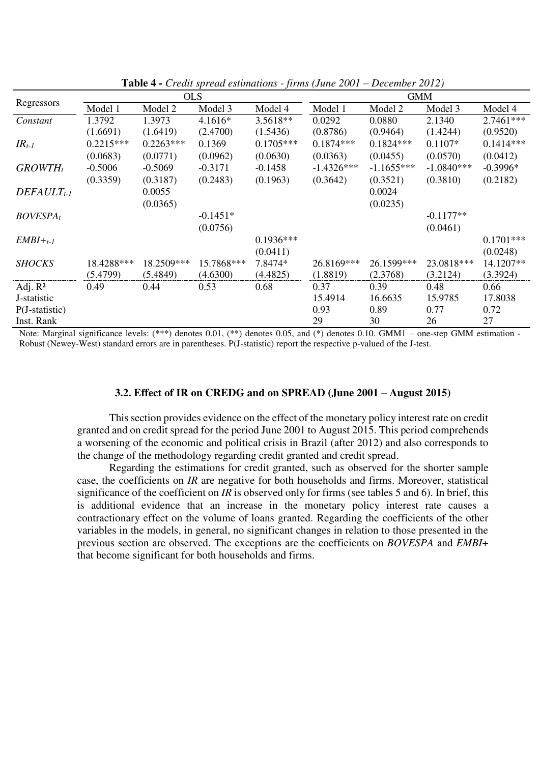|                  |             | <b>OLS</b>  |            |             |              | <b>GMM</b>   |              |             |
|------------------|-------------|-------------|------------|-------------|--------------|--------------|--------------|-------------|
| Regressors       | Model 1     | Model 2     | Model 3    | Model 4     | Model 1      | Model 2      | Model 3      | Model 4     |
| Constant         | 1.3792      | 1.3973      | 4.1616*    | 3.5618**    | 0.0292       | 0.0880       | 2.1340       | 2.7461 ***  |
|                  | (1.6691)    | (1.6419)    | (2.4700)   | (1.5436)    | (0.8786)     | (0.9464)     | (1.4244)     | (0.9520)    |
| $IR_{t-1}$       | $0.2215***$ | $0.2263***$ | 0.1369     | $0.1705***$ | $0.1874***$  | $0.1824***$  | $0.1107*$    | $0.1414***$ |
|                  | (0.0683)    | (0.0771)    | (0.0962)   | (0.0630)    | (0.0363)     | (0.0455)     | (0.0570)     | (0.0412)    |
| $GROWTH_t$       | $-0.5006$   | $-0.5069$   | $-0.3171$  | $-0.1458$   | $-1.4326***$ | $-1.1655***$ | $-1.0840***$ | $-0.3996*$  |
|                  | (0.3359)    | (0.3187)    | (0.2483)   | (0.1963)    | (0.3642)     | (0.3521)     | (0.3810)     | (0.2182)    |
| $DEFAULT_{t-1}$  |             | 0.0055      |            |             |              | 0.0024       |              |             |
|                  |             | (0.0365)    |            |             |              | (0.0235)     |              |             |
| $BOVESPA_t$      |             |             | $-0.1451*$ |             |              |              | $-0.1177**$  |             |
|                  |             |             | (0.0756)   |             |              |              | (0.0461)     |             |
| $EMBI+t-1$       |             |             |            | $0.1936***$ |              |              |              | $0.1701***$ |
|                  |             |             |            | (0.0411)    |              |              |              | (0.0248)    |
| <b>SHOCKS</b>    | 18.4288***  | 18.2509***  | 15.7868*** | 7.8474*     | 26.8169***   | 26.1599***   | 23.0818***   | 14.1207**   |
|                  | (5.4799)    | (5.4849)    | (4.6300)   | (4.4825)    | (1.8819)     | (2.3768)     | (3.2124)     | (3.3924)    |
| Adj. $R^2$       | 0.49        | 0.44        | 0.53       | 0.68        | 0.37         | 0.39         | 0.48         | 0.66        |
| J-statistic      |             |             |            |             | 15.4914      | 16.6635      | 15.9785      | 17.8038     |
| $P(J-statistic)$ |             |             |            |             | 0.93         | 0.89         | 0.77         | 0.72        |
| Inst. Rank       |             |             |            |             | 29           | 30           | 26           | 27          |

**Table 4 -** *Credit spread estimations - firms (June 2001 – December 2012)*

Note: Marginal significance levels:  $(***$ ) denotes 0.01,  $(**)$  denotes 0.05, and  $(*)$  denotes 0.10. GMM1 – one-step GMM estimation -Robust (Newey-West) standard errors are in parentheses. P(J-statistic) report the respective p-valued of the J-test.

#### **3.2. Effect of IR on CREDG and on SPREAD (June 2001 – August 2015)**

 This section provides evidence on the effect of the monetary policy interest rate on credit granted and on credit spread for the period June 2001 to August 2015. This period comprehends a worsening of the economic and political crisis in Brazil (after 2012) and also corresponds to the change of the methodology regarding credit granted and credit spread.

 Regarding the estimations for credit granted, such as observed for the shorter sample case, the coefficients on *IR* are negative for both households and firms. Moreover, statistical significance of the coefficient on *IR* is observed only for firms (see tables 5 and 6). In brief, this is additional evidence that an increase in the monetary policy interest rate causes a contractionary effect on the volume of loans granted. Regarding the coefficients of the other variables in the models, in general, no significant changes in relation to those presented in the previous section are observed. The exceptions are the coefficients on *BOVESPA* and *EMBI*+ that become significant for both households and firms.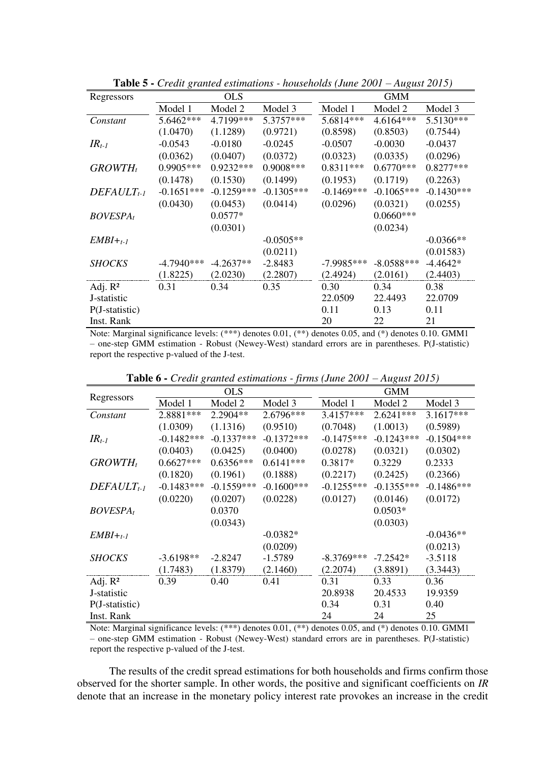| Regressors       |              | <b>OLS</b>   |              |              | <b>GMM</b>   |              |
|------------------|--------------|--------------|--------------|--------------|--------------|--------------|
|                  | Model 1      | Model 2      | Model 3      | Model 1      | Model 2      | Model 3      |
| Constant         | 5.6462***    | 4.7199***    | 5.3757***    | 5.6814 ***   | 4.6164***    | 5.5130***    |
|                  | (1.0470)     | (1.1289)     | (0.9721)     | (0.8598)     | (0.8503)     | (0.7544)     |
| $IR_{t-1}$       | $-0.0543$    | $-0.0180$    | $-0.0245$    | $-0.0507$    | $-0.0030$    | $-0.0437$    |
|                  | (0.0362)     | (0.0407)     | (0.0372)     | (0.0323)     | (0.0335)     | (0.0296)     |
| $GROWTH_t$       | 0.9905***    | 0.9232***    | 0.9008 ***   | $0.8311***$  | $0.6770***$  | $0.8277***$  |
|                  | (0.1478)     | (0.1530)     | (0.1499)     | (0.1953)     | (0.1719)     | (0.2263)     |
| $DEFAULT_{t-1}$  | $-0.1651***$ | $-0.1259***$ | $-0.1305***$ | $-0.1469***$ | $-0.1065***$ | $-0.1430***$ |
|                  | (0.0430)     | (0.0453)     | (0.0414)     | (0.0296)     | (0.0321)     | (0.0255)     |
| <b>BOVESPAt</b>  |              | $0.0577*$    |              |              | $0.0660***$  |              |
|                  |              | (0.0301)     |              |              | (0.0234)     |              |
| $EMBI+t-1$       |              |              | $-0.0505**$  |              |              | $-0.0366**$  |
|                  |              |              | (0.0211)     |              |              | (0.01583)    |
| <b>SHOCKS</b>    | $-4.7940***$ | $-4.2637**$  | $-2.8483$    | $-7.9985***$ | $-8.0588***$ | $-4.4642*$   |
|                  | (1.8225)     | (2.0230)     | (2.2807)     | (2.4924)     | (2.0161)     | (2.4403)     |
| Adj. $R^2$       | 0.31         | 0.34         | 0.35         | 0.30         | 0.34         | 0.38         |
| J-statistic      |              |              |              | 22.0509      | 22.4493      | 22.0709      |
| $P(J-statistic)$ |              |              |              | 0.11         | 0.13         | 0.11         |
| Inst. Rank       |              |              |              | 20           | 22           | 21           |

**Table 5 -** *Credit granted estimations - households (June 2001 – August 2015)* 

Note: Marginal significance levels: (\*\*\*) denotes 0.01, (\*\*) denotes 0.05, and (\*) denotes 0.10. GMM1 – one-step GMM estimation - Robust (Newey-West) standard errors are in parentheses. P(J-statistic) report the respective p-valued of the J-test.

| Regressors          |              | <b>OLS</b>   |               |              | <b>GMM</b>   |              |
|---------------------|--------------|--------------|---------------|--------------|--------------|--------------|
|                     | Model 1      | Model 2      | Model 3       | Model 1      | Model 2      | Model 3      |
| Constant            | 2.8881 ***   | 2.2904**     | 2.6796***     | 3.4157***    | $2.6241***$  | 3.1617***    |
|                     | (1.0309)     | (1.1316)     | (0.9510)      | (0.7048)     | (1.0013)     | (0.5989)     |
| $IR_{t-1}$          | $-0.1482***$ | $-0.1337***$ | $-0.1372***$  | $-0.1475***$ | $-0.1243***$ | $-0.1504***$ |
|                     | (0.0403)     | (0.0425)     | (0.0400)      | (0.0278)     | (0.0321)     | (0.0302)     |
| $GROWTH_t$          | $0.6627***$  | $0.6356***$  | $0.6141***$   | $0.3817*$    | 0.3229       | 0.2333       |
|                     | (0.1820)     | (0.1961)     | (0.1888)      | (0.2217)     | (0.2425)     | (0.2366)     |
| $DEFAULT_{t-1}$     | $-0.1483***$ | $-0.1559***$ | $-0.1600$ *** | $-0.1255***$ | $-0.1355***$ | $-0.1486***$ |
|                     | (0.0220)     | (0.0207)     | (0.0228)      | (0.0127)     | (0.0146)     | (0.0172)     |
| <b>BOVESPAt</b>     |              | 0.0370       |               |              | $0.0503*$    |              |
|                     |              | (0.0343)     |               |              | (0.0303)     |              |
| $EMBI+t-1$          |              |              | $-0.0382*$    |              |              | $-0.0436**$  |
|                     |              |              | (0.0209)      |              |              | (0.0213)     |
| <b>SHOCKS</b>       | $-3.6198**$  | $-2.8247$    | $-1.5789$     | $-8.3769***$ | $-7.2542*$   | $-3.5118$    |
|                     | (1.7483)     | (1.8379)     | (2.1460)      | (2.2074)     | (3.8891)     | (3.3443)     |
| Adj. R <sup>2</sup> | 0.39         | 0.40         | 0.41          | 0.31         | 0.33         | 0.36         |
| J-statistic         |              |              |               | 20.8938      | 20.4533      | 19.9359      |
| $P(J-statistic)$    |              |              |               | 0.34         | 0.31         | 0.40         |
| Inst. Rank          |              |              |               | 24           | 24           | 25           |

**Table 6 -** *Credit granted estimations - firms (June 2001 – August 2015)* 

Note: Marginal significance levels: (\*\*\*) denotes 0.01, (\*\*) denotes 0.05, and (\*) denotes 0.10. GMM1 – one-step GMM estimation - Robust (Newey-West) standard errors are in parentheses. P(J-statistic) report the respective p-valued of the J-test.

 The results of the credit spread estimations for both households and firms confirm those observed for the shorter sample. In other words, the positive and significant coefficients on *IR*  denote that an increase in the monetary policy interest rate provokes an increase in the credit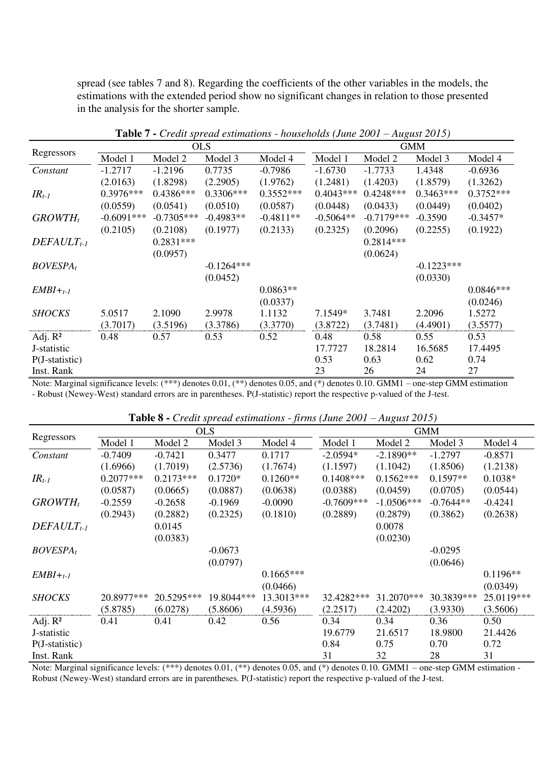spread (see tables 7 and 8). Regarding the coefficients of the other variables in the models, the estimations with the extended period show no significant changes in relation to those presented in the analysis for the shorter sample.

|                  |              |              | <b>OLS</b>   |             |             |              | <b>GMM</b>   |             |
|------------------|--------------|--------------|--------------|-------------|-------------|--------------|--------------|-------------|
| Regressors       | Model 1      | Model 2      | Model 3      | Model 4     | Model 1     | Model 2      | Model 3      | Model 4     |
| Constant         | $-1.2717$    | $-1.2196$    | 0.7735       | $-0.7986$   | $-1.6730$   | $-1.7733$    | 1.4348       | $-0.6936$   |
|                  | (2.0163)     | (1.8298)     | (2.2905)     | (1.9762)    | (1.2481)    | (1.4203)     | (1.8579)     | (1.3262)    |
| $IR_{t-1}$       | $0.3976***$  | $0.4386***$  | $0.3306***$  | $0.3552***$ | $0.4043***$ | $0.4248***$  | $0.3463***$  | $0.3752***$ |
|                  | (0.0559)     | (0.0541)     | (0.0510)     | (0.0587)    | (0.0448)    | (0.0433)     | (0.0449)     | (0.0402)    |
| $GROWTH_t$       | $-0.6091***$ | $-0.7305***$ | $-0.4983**$  | $-0.4811**$ | $-0.5064**$ | $-0.7179***$ | $-0.3590$    | $-0.3457*$  |
|                  | (0.2105)     | (0.2108)     | (0.1977)     | (0.2133)    | (0.2325)    | (0.2096)     | (0.2255)     | (0.1922)    |
| $DEFAULT_{t-1}$  |              | $0.2831***$  |              |             |             | $0.2814***$  |              |             |
|                  |              | (0.0957)     |              |             |             | (0.0624)     |              |             |
| $BOVESPA_t$      |              |              | $-0.1264***$ |             |             |              | $-0.1223***$ |             |
|                  |              |              | (0.0452)     |             |             |              | (0.0330)     |             |
| $EMBI+t-1$       |              |              |              | $0.0863**$  |             |              |              | $0.0846***$ |
|                  |              |              |              | (0.0337)    |             |              |              | (0.0246)    |
| <b>SHOCKS</b>    | 5.0517       | 2.1090       | 2.9978       | 1.1132      | 7.1549*     | 3.7481       | 2.2096       | 1.5272      |
|                  | (3.7017)     | (3.5196)     | (3.3786)     | (3.3770)    | (3.8722)    | (3.7481)     | (4.4901)     | (3.5577)    |
| Adj. $R^2$       | 0.48         | 0.57         | 0.53         | 0.52        | 0.48        | 0.58         | 0.55         | 0.53        |
| J-statistic      |              |              |              |             | 17.7727     | 18.2814      | 16.5685      | 17.4495     |
| $P(J-statistic)$ |              |              |              |             | 0.53        | 0.63         | 0.62         | 0.74        |
| Inst. Rank       |              |              |              |             | 23          | 26           | 24           | 27          |

**Table 7 -** *Credit spread estimations - households (June 2001 – August 2015)*

Note: Marginal significance levels: (\*\*\*) denotes 0.01, (\*\*) denotes 0.05, and (\*) denotes 0.10. GMM1 – one-step GMM estimation - Robust (Newey-West) standard errors are in parentheses. P(J-statistic) report the respective p-valued of the J-test.

| Regressors       |             |             | <b>OLS</b> |             |              |              | <b>GMM</b>  |            |  |
|------------------|-------------|-------------|------------|-------------|--------------|--------------|-------------|------------|--|
|                  | Model 1     | Model 2     | Model 3    | Model 4     | Model 1      | Model 2      | Model 3     | Model 4    |  |
| Constant         | $-0.7409$   | $-0.7421$   | 0.3477     | 0.1717      | $-2.0594*$   | $-2.1890**$  | $-1.2797$   | $-0.8571$  |  |
|                  | (1.6966)    | (1.7019)    | (2.5736)   | (1.7674)    | (1.1597)     | (1.1042)     | (1.8506)    | (1.2138)   |  |
| $IR_{t-1}$       | $0.2077***$ | $0.2173***$ | $0.1720*$  | $0.1260**$  | $0.1408***$  | $0.1562***$  | $0.1597**$  | $0.1038*$  |  |
|                  | (0.0587)    | (0.0665)    | (0.0887)   | (0.0638)    | (0.0388)     | (0.0459)     | (0.0705)    | (0.0544)   |  |
| $GROWTH_t$       | $-0.2559$   | $-0.2658$   | $-0.1969$  | $-0.0090$   | $-0.7609***$ | $-1.0506***$ | $-0.7644**$ | $-0.4241$  |  |
|                  | (0.2943)    | (0.2882)    | (0.2325)   | (0.1810)    | (0.2889)     | (0.2879)     | (0.3862)    | (0.2638)   |  |
| $DEFAULT_{t-1}$  |             | 0.0145      |            |             |              | 0.0078       |             |            |  |
|                  |             | (0.0383)    |            |             |              | (0.0230)     |             |            |  |
| <b>BOVESPAt</b>  |             |             | $-0.0673$  |             |              |              | $-0.0295$   |            |  |
|                  |             |             | (0.0797)   |             |              |              | (0.0646)    |            |  |
| $EMBI+t-1$       |             |             |            | $0.1665***$ |              |              |             | $0.1196**$ |  |
|                  |             |             |            | (0.0466)    |              |              |             | (0.0349)   |  |
| <b>SHOCKS</b>    | 20.8977***  | 20.5295***  | 19.8044*** | 13.3013***  | 32.4282***   | 31.2070***   | 30.3839***  | 25.0119*** |  |
|                  | (5.8785)    | (6.0278)    | (5.8606)   | (4.5936)    | (2.2517)     | (2.4202)     | (3.9330)    | (3.5606)   |  |
| Adj. $R^2$       | 0.41        | 0.41        | 0.42       | 0.56        | 0.34         | 0.34         | 0.36        | 0.50       |  |
| J-statistic      |             |             |            |             | 19.6779      | 21.6517      | 18.9800     | 21.4426    |  |
| $P(J-statistic)$ |             |             |            |             | 0.84         | 0.75         | 0.70        | 0.72       |  |
| Inst. Rank       |             |             |            |             | 31           | 32           | 28          | 31         |  |

**Table 8 -** *Credit spread estimations - firms (June 2001 – August 2015)*

Note: Marginal significance levels: (\*\*\*) denotes 0.01, (\*\*) denotes 0.05, and (\*) denotes 0.10. GMM1 – one-step GMM estimation -Robust (Newey-West) standard errors are in parentheses. P(J-statistic) report the respective p-valued of the J-test.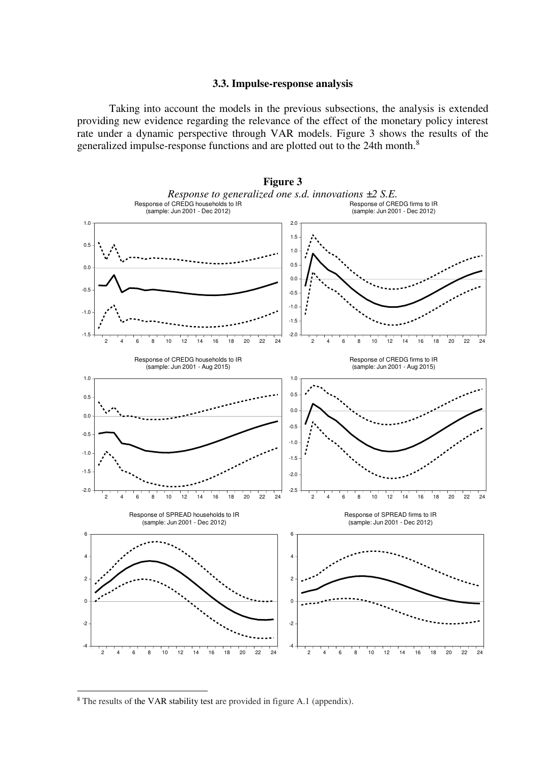#### **3.3. Impulse-response analysis**

 Taking into account the models in the previous subsections, the analysis is extended providing new evidence regarding the relevance of the effect of the monetary policy interest rate under a dynamic perspective through VAR models. Figure 3 shows the results of the generalized impulse-response functions and are plotted out to the 24th month.<sup>8</sup>



<sup>8</sup> The results of the VAR stability test are provided in figure A.1 (appendix).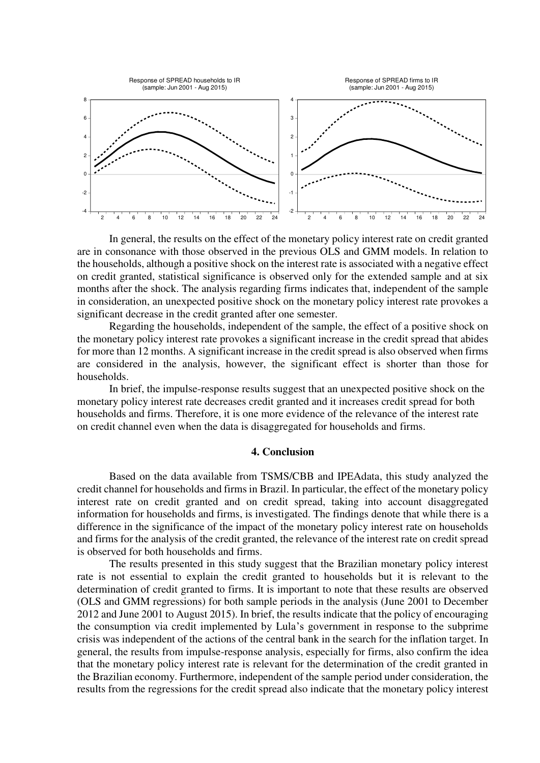

In general, the results on the effect of the monetary policy interest rate on credit granted are in consonance with those observed in the previous OLS and GMM models. In relation to the households, although a positive shock on the interest rate is associated with a negative effect on credit granted, statistical significance is observed only for the extended sample and at six months after the shock. The analysis regarding firms indicates that, independent of the sample in consideration, an unexpected positive shock on the monetary policy interest rate provokes a significant decrease in the credit granted after one semester.

 Regarding the households, independent of the sample, the effect of a positive shock on the monetary policy interest rate provokes a significant increase in the credit spread that abides for more than 12 months. A significant increase in the credit spread is also observed when firms are considered in the analysis, however, the significant effect is shorter than those for households.

 In brief, the impulse-response results suggest that an unexpected positive shock on the monetary policy interest rate decreases credit granted and it increases credit spread for both households and firms. Therefore, it is one more evidence of the relevance of the interest rate on credit channel even when the data is disaggregated for households and firms.

### **4. Conclusion**

 Based on the data available from TSMS/CBB and IPEAdata, this study analyzed the credit channel for households and firms in Brazil. In particular, the effect of the monetary policy interest rate on credit granted and on credit spread, taking into account disaggregated information for households and firms, is investigated. The findings denote that while there is a difference in the significance of the impact of the monetary policy interest rate on households and firms for the analysis of the credit granted, the relevance of the interest rate on credit spread is observed for both households and firms.

 The results presented in this study suggest that the Brazilian monetary policy interest rate is not essential to explain the credit granted to households but it is relevant to the determination of credit granted to firms. It is important to note that these results are observed (OLS and GMM regressions) for both sample periods in the analysis (June 2001 to December 2012 and June 2001 to August 2015). In brief, the results indicate that the policy of encouraging the consumption via credit implemented by Lula's government in response to the subprime crisis was independent of the actions of the central bank in the search for the inflation target. In general, the results from impulse-response analysis, especially for firms, also confirm the idea that the monetary policy interest rate is relevant for the determination of the credit granted in the Brazilian economy. Furthermore, independent of the sample period under consideration, the results from the regressions for the credit spread also indicate that the monetary policy interest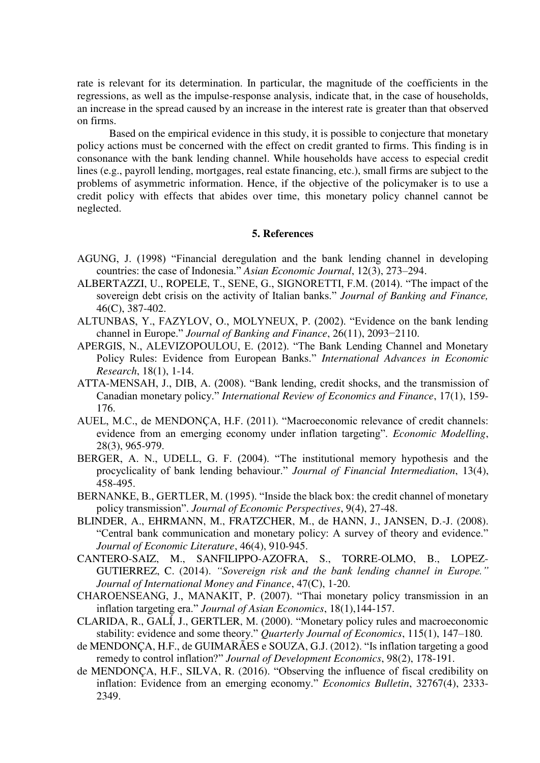rate is relevant for its determination. In particular, the magnitude of the coefficients in the regressions, as well as the impulse-response analysis, indicate that, in the case of households, an increase in the spread caused by an increase in the interest rate is greater than that observed on firms.

 Based on the empirical evidence in this study, it is possible to conjecture that monetary policy actions must be concerned with the effect on credit granted to firms. This finding is in consonance with the bank lending channel. While households have access to especial credit lines (e.g., payroll lending, mortgages, real estate financing, etc.), small firms are subject to the problems of asymmetric information. Hence, if the objective of the policymaker is to use a credit policy with effects that abides over time, this monetary policy channel cannot be neglected.

#### **5. References**

- AGUNG, J. (1998) "Financial deregulation and the bank lending channel in developing countries: the case of Indonesia." *Asian Economic Journal*, 12(3), 273–294.
- ALBERTAZZI, U., ROPELE, T., SENE, G., SIGNORETTI, F.M. (2014). "The impact of the sovereign debt crisis on the activity of Italian banks." *Journal of Banking and Finance,*  46(C), 387-402.
- ALTUNBAS, Y., FAZYLOV, O., MOLYNEUX, P. (2002). "Evidence on the bank lending channel in Europe." *Journal of Banking and Finance*, 26(11), 2093−2110.
- APERGIS, N., ALEVIZOPOULOU, E. (2012). "The Bank Lending Channel and Monetary Policy Rules: Evidence from European Banks." *International Advances in Economic Research*, 18(1), 1-14.
- ATTA-MENSAH, J., DIB, A. (2008). "Bank lending, credit shocks, and the transmission of Canadian monetary policy." *International Review of Economics and Finance*, 17(1), 159- 176.
- AUEL, M.C., de MENDONÇA, H.F. (2011). "Macroeconomic relevance of credit channels: evidence from an emerging economy under inflation targeting". *Economic Modelling*, 28(3), 965-979.
- BERGER, A. N., UDELL, G. F. (2004). "The institutional memory hypothesis and the procyclicality of bank lending behaviour." *Journal of Financial Intermediation*, 13(4), 458-495.
- BERNANKE, B., GERTLER, M. (1995). "Inside the black box: the credit channel of monetary policy transmission". *Journal of Economic Perspectives*, 9(4), 27-48.
- BLINDER, A., EHRMANN, M., FRATZCHER, M., de HANN, J., JANSEN, D.-J. (2008). "Central bank communication and monetary policy: A survey of theory and evidence." *Journal of Economic Literature*, 46(4), 910-945.
- CANTERO-SAIZ, M., SANFILIPPO-AZOFRA, S., TORRE-OLMO, B., LOPEZ-GUTIERREZ, C. (2014). *"Sovereign risk and the bank lending channel in Europe." Journal of International Money and Finance*, 47(C), 1-20.
- CHAROENSEANG, J., MANAKIT, P. (2007). "Thai monetary policy transmission in an inflation targeting era." *Journal of Asian Economics*, 18(1),144-157.
- CLARIDA, R., GALÍ, J., GERTLER, M. (2000). "Monetary policy rules and macroeconomic stability: evidence and some theory." *Quarterly Journal of Economics*, 115(1), 147–180.
- de MENDONÇA, H.F., de GUIMARÃES e SOUZA, G.J. (2012). "Is inflation targeting a good remedy to control inflation?" *Journal of Development Economics*, 98(2), 178-191.
- de MENDONÇA, H.F., SILVA, R. (2016). "Observing the influence of fiscal credibility on inflation: Evidence from an emerging economy." *Economics Bulletin*, 32767(4), 2333- 2349.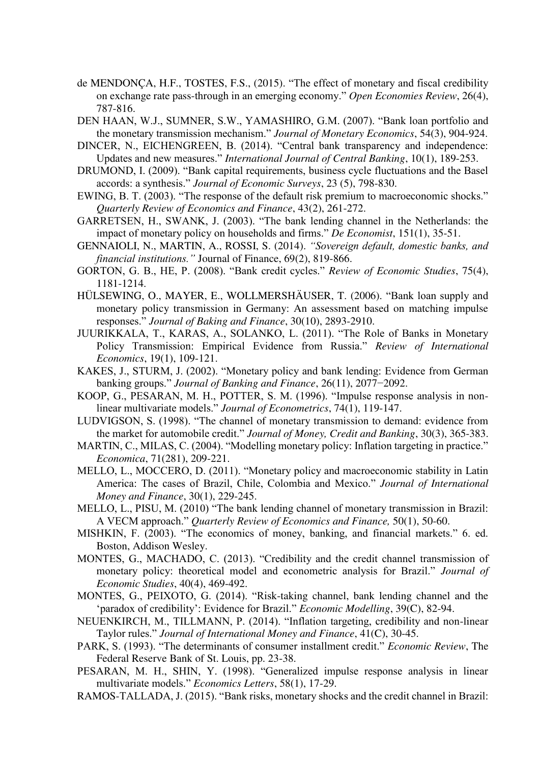- de MENDONÇA, H.F., TOSTES, F.S., (2015). "The effect of monetary and fiscal credibility on exchange rate pass-through in an emerging economy." *Open Economies Review*, 26(4), 787-816.
- DEN HAAN, W.J., SUMNER, S.W., YAMASHIRO, G.M. (2007). "Bank loan portfolio and the monetary transmission mechanism." *Journal of Monetary Economics*, 54(3), 904-924.
- DINCER, N., EICHENGREEN, B. (2014). "Central bank transparency and independence: Updates and new measures." *International Journal of Central Banking*, 10(1), 189-253.
- DRUMOND, I. (2009). "Bank capital requirements, business cycle fluctuations and the Basel accords: a synthesis." *Journal of Economic Surveys*, 23 (5), 798-830.
- EWING, B. T. (2003). "The response of the default risk premium to macroeconomic shocks." *Quarterly Review of Economics and Finance*, 43(2), 261-272.
- GARRETSEN, H., SWANK, J. (2003). "The bank lending channel in the Netherlands: the impact of monetary policy on households and firms." *De Economist*, 151(1), 35-51.
- GENNAIOLI, N., MARTIN, A., ROSSI, S. (2014). *"Sovereign default, domestic banks, and financial institutions."* Journal of Finance, 69(2), 819-866.
- GORTON, G. B., HE, P. (2008). "Bank credit cycles." *Review of Economic Studies*, 75(4), 1181-1214.
- HÜLSEWING, O., MAYER, E., WOLLMERSHÄUSER, T. (2006). "Bank loan supply and monetary policy transmission in Germany: An assessment based on matching impulse responses." *Journal of Baking and Finance*, 30(10), 2893-2910.
- JUURIKKALA, T., KARAS, A., SOLANKO, L. (2011). "The Role of Banks in Monetary Policy Transmission: Empirical Evidence from Russia." *Review of International Economics*, 19(1), 109-121.
- KAKES, J., STURM, J. (2002). "Monetary policy and bank lending: Evidence from German banking groups." *Journal of Banking and Finance*, 26(11), 2077−2092.
- KOOP, G., PESARAN, M. H., POTTER, S. M. (1996). "Impulse response analysis in nonlinear multivariate models." *Journal of Econometrics*, 74(1), 119-147.
- LUDVIGSON, S. (1998). "The channel of monetary transmission to demand: evidence from the market for automobile credit." *Journal of Money, Credit and Banking*, 30(3), 365-383.
- MARTIN, C., MILAS, C. (2004). "Modelling monetary policy: Inflation targeting in practice." *Economica*, 71(281), 209-221.
- MELLO, L., MOCCERO, D. (2011). "Monetary policy and macroeconomic stability in Latin America: The cases of Brazil, Chile, Colombia and Mexico." *Journal of International Money and Finance*, 30(1), 229-245.
- MELLO, L., PISU, M. (2010) "The bank lending channel of monetary transmission in Brazil: A VECM approach." *Quarterly Review of Economics and Finance,* 50(1), 50-60.
- MISHKIN, F. (2003). "The economics of money, banking, and financial markets." 6. ed. Boston, Addison Wesley.
- MONTES, G., MACHADO, C. (2013). "Credibility and the credit channel transmission of monetary policy: theoretical model and econometric analysis for Brazil." *Journal of Economic Studies*, 40(4), 469-492.
- MONTES, G., PEIXOTO, G. (2014). "Risk-taking channel, bank lending channel and the 'paradox of credibility': Evidence for Brazil." *Economic Modelling*, 39(C), 82-94.
- NEUENKIRCH, M., TILLMANN, P. (2014). "Inflation targeting, credibility and non-linear Taylor rules." *Journal of International Money and Finance*, 41(C), 30-45.
- PARK, S. (1993). "The determinants of consumer installment credit." *Economic Review*, The Federal Reserve Bank of St. Louis, pp. 23-38.
- PESARAN, M. H., SHIN, Y. (1998). "Generalized impulse response analysis in linear multivariate models." *Economics Letters*, 58(1), 17-29.
- RAMOS-TALLADA, J. (2015). "Bank risks, monetary shocks and the credit channel in Brazil: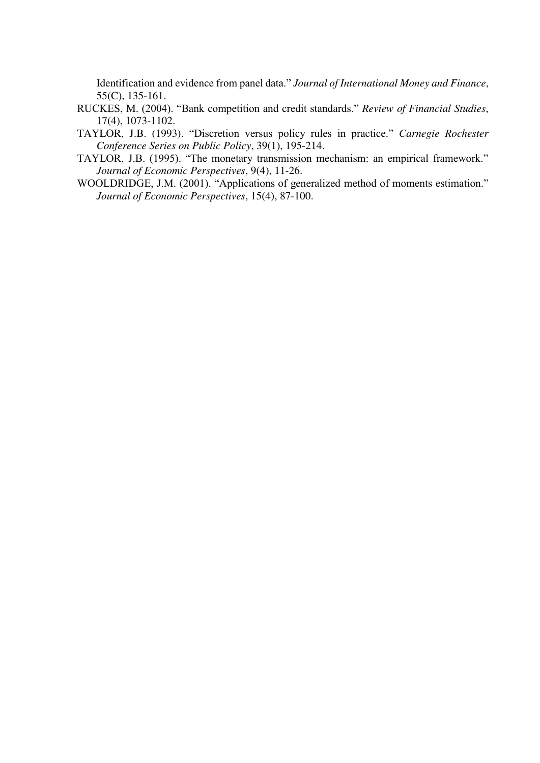Identification and evidence from panel data." *Journal of International Money and Finance*, 55(C), 135-161.

- RUCKES, M. (2004). "Bank competition and credit standards." *Review of Financial Studies*, 17(4), 1073-1102.
- TAYLOR, J.B. (1993). "Discretion versus policy rules in practice." *Carnegie Rochester Conference Series on Public Policy*, 39(1), 195-214.
- TAYLOR, J.B. (1995). "The monetary transmission mechanism: an empirical framework." *Journal of Economic Perspectives*, 9(4), 11-26.
- WOOLDRIDGE, J.M. (2001). "Applications of generalized method of moments estimation." *Journal of Economic Perspectives*, 15(4), 87-100.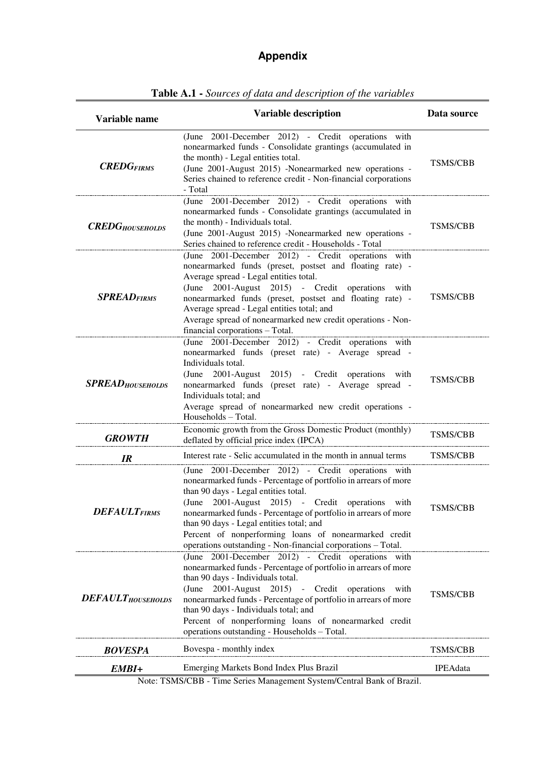## **Appendix**

| Variable name             | <b>Variable description</b>                                                                                                                                                                                                                                                                                                                                                                                                                                  | Data source     |
|---------------------------|--------------------------------------------------------------------------------------------------------------------------------------------------------------------------------------------------------------------------------------------------------------------------------------------------------------------------------------------------------------------------------------------------------------------------------------------------------------|-----------------|
| <b>CREDGFIRMS</b>         | (June 2001-December 2012) - Credit operations with<br>nonearmarked funds - Consolidate grantings (accumulated in<br>the month) - Legal entities total.<br>(June 2001-August 2015) -Nonearmarked new operations -<br>Series chained to reference credit - Non-financial corporations<br>- Total                                                                                                                                                               | <b>TSMS/CBB</b> |
| <b>CREDG</b> HOUSEHOLDS   | (June 2001-December 2012) - Credit operations with<br>nonearmarked funds - Consolidate grantings (accumulated in<br>the month) - Individuals total.<br>(June 2001-August 2015) -Nonearmarked new operations -<br>Series chained to reference credit - Households - Total                                                                                                                                                                                     | <b>TSMS/CBB</b> |
| <b>SPREADFIRMS</b>        | (June 2001-December 2012) - Credit operations with<br>nonearmarked funds (preset, postset and floating rate) -<br>Average spread - Legal entities total.<br>2001-August 2015) - Credit operations<br>(June<br>with<br>nonearmarked funds (preset, postset and floating rate) -<br>Average spread - Legal entities total; and<br>Average spread of nonearmarked new credit operations - Non-<br>financial corporations - Total.                               | <b>TSMS/CBB</b> |
| <b>SPREAD</b> HOUSEHOLDS  | (June 2001-December 2012) - Credit operations with<br>nonearmarked funds (preset rate) - Average spread -<br>Individuals total.<br>2001-August 2015) - Credit operations<br>(June<br>with<br>nonearmarked funds (preset rate) - Average spread -<br>Individuals total; and<br>Average spread of nonearmarked new credit operations -<br>Households - Total.                                                                                                  | <b>TSMS/CBB</b> |
| <b>GROWTH</b>             | Economic growth from the Gross Domestic Product (monthly)<br>deflated by official price index (IPCA)                                                                                                                                                                                                                                                                                                                                                         | <b>TSMS/CBB</b> |
| IR                        | Interest rate - Selic accumulated in the month in annual terms                                                                                                                                                                                                                                                                                                                                                                                               | <b>TSMS/CBB</b> |
| <b>DEFAULTFIRMS</b>       | (June 2001-December 2012) - Credit operations with<br>nonearmarked funds - Percentage of portfolio in arrears of more<br>than 90 days - Legal entities total.<br>(June 2001-August 2015) - Credit operations<br>with<br>nonearmarked funds - Percentage of portfolio in arrears of more<br>than 90 days - Legal entities total; and<br>Percent of nonperforming loans of nonearmarked credit<br>operations outstanding - Non-financial corporations - Total. | <b>TSMS/CBB</b> |
| <b>DEFAULT</b> HOUSEHOLDS | (June 2001-December 2012) - Credit operations with<br>nonearmarked funds - Percentage of portfolio in arrears of more<br>than 90 days - Individuals total.<br>(June<br>2001-August 2015)<br>- Credit operations<br>with<br>nonearmarked funds - Percentage of portfolio in arrears of more<br>than 90 days - Individuals total; and<br>Percent of nonperforming loans of nonearmarked credit<br>operations outstanding - Households - Total.                 | <b>TSMS/CBB</b> |
| <b>BOVESPA</b>            | Bovespa - monthly index                                                                                                                                                                                                                                                                                                                                                                                                                                      | TSMS/CBB        |
| EMBI+                     | Emerging Markets Bond Index Plus Brazil<br>$T(10/CDD - T' \dots 0)$                                                                                                                                                                                                                                                                                                                                                                                          | <b>IPEAdata</b> |

**Table A.1 -** *Sources of data and description of the variables* 

Note: TSMS/CBB - Time Series Management System/Central Bank of Brazil.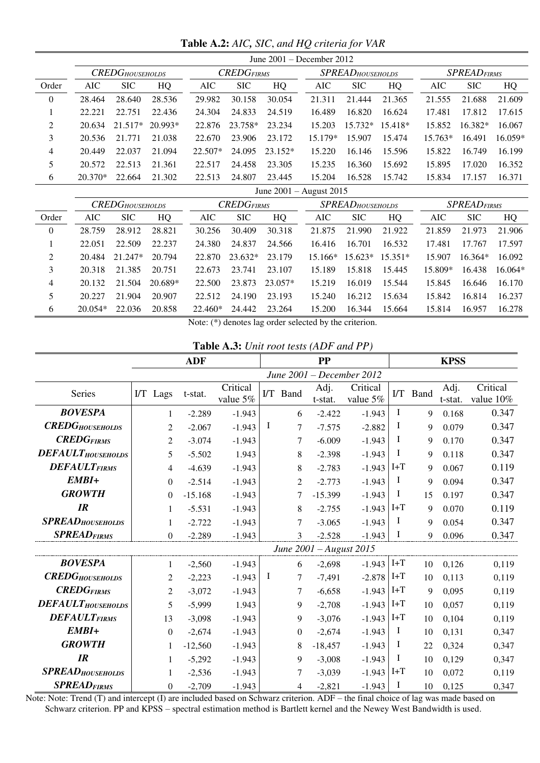**Table A.2:** *AIC, SIC*, *and HQ criteria for VAR* 

|                  |                             |                         |           |           |                 |           | June $2001 -$ December $2012$ |                          |           |           |                     |           |  |
|------------------|-----------------------------|-------------------------|-----------|-----------|-----------------|-----------|-------------------------------|--------------------------|-----------|-----------|---------------------|-----------|--|
|                  |                             | <b>CREDG</b> HOUSEHOLDS |           |           | $CREDG_{FIRMS}$ |           |                               | <b>SPREAD</b> HOUSEHOLDS |           |           | <b>SPREAD</b> FIRMS |           |  |
| Order            | <b>AIC</b>                  | <b>SIC</b>              | HQ        | AIC       | <b>SIC</b>      | HQ        | AIC                           | <b>SIC</b>               | HQ        | AIC       | <b>SIC</b>          | HQ        |  |
| $\boldsymbol{0}$ | 28.464                      | 28.640                  | 28.536    | 29.982    | 30.158          | 30.054    | 21.311                        | 21.444                   | 21.365    | 21.555    | 21.688              | 21.609    |  |
|                  | 22.221                      | 22.751                  | 22.436    | 24.304    | 24.833          | 24.519    | 16.489                        | 16.820                   | 16.624    | 17.481    | 17.812              | 17.615    |  |
| 2                | 20.634                      | $21.517*$               | $20.993*$ | 22.876    | 23.758*         | 23.234    | 15.203                        | $15.732*$                | $15.418*$ | 15.852    | $16.382*$           | 16.067    |  |
| 3                | 20.536                      | 21.771                  | 21.038    | 22.670    | 23.906          | 23.172    | 15.179*                       | 15.907                   | 15.474    | $15.763*$ | 16.491              | $16.059*$ |  |
| 4                | 20.449                      | 22.037                  | 21.094    | $22.507*$ | 24.095          | $23.152*$ | 15.220                        | 16.146                   | 15.596    | 15.822    | 16.749              | 16.199    |  |
| 5                | 20.572                      | 22.513                  | 21.361    | 22.517    | 24.458          | 23.305    | 15.235                        | 16.360                   | 15.692    | 15.895    | 17.020              | 16.352    |  |
| 6                | $20.370*$                   | 22.664                  | 21.302    | 22.513    | 24.807          | 23.445    | 15.204                        | 16.528                   | 15.742    | 15.834    | 17.157              | 16.371    |  |
|                  | June $2001 -$ August $2015$ |                         |           |           |                 |           |                               |                          |           |           |                     |           |  |

|          |           | <b>CREDG</b> HOUSEHOLDS |           |         | $CREDG_{FIRMS}$ |           |           | <b>SPREAD</b> HOUSEHOLDS |           | <b>SPREAD</b> FIRMS |            |           |
|----------|-----------|-------------------------|-----------|---------|-----------------|-----------|-----------|--------------------------|-----------|---------------------|------------|-----------|
| Order    | AIC       | <b>SIC</b>              | HQ        | AIC     | <b>SIC</b>      | HQ        | AIC       | <b>SIC</b>               | HQ        | AIC                 | <b>SIC</b> | HQ        |
| $\theta$ | 28.759    | 28.912                  | 28.821    | 30.256  | 30.409          | 30.318    | 21.875    | 21<br>-990               | 21.922    | 21.859              | 21.973     | 21.906    |
|          | 22.051    | 22.509                  | 22.237    | 24.380  | 24.837          | 24.566    | 16.416    | 16.701                   | 16.532    | 17.481              | 17.767     | 17.597    |
| 2        | 20.484    | $21.247*$               | 20.794    | 22.870  | $23.632*$       | 23.179    | $15.166*$ | $15.623*$                | $15.351*$ | 15.907              | $16.364*$  | 16.092    |
| 3        | 20.318    | 21.385                  | 20.751    | 22.673  | 23.741          | 23.107    | 15.189    | 15.818                   | 15.445    | 15.809*             | 16.438     | $16.064*$ |
| 4        | 20.132    | 21.504                  | $20.689*$ | 22.500  | 23.873          | $23.057*$ | 15.219    | 16.019                   | 15.544    | 15.845              | 16.646     | 16.170    |
| 5        | 20.227    | 21.904                  | 20.907    | 22.512  | 24.190          | 23.193    | 15.240    | 16.212                   | 15.634    | 15.842              | 16.814     | 16.237    |
| 6        | $20.054*$ | 22.036                  | 20.858    | 22.460* | 24.442          | 23.264    | 15.200    | 16.344                   | 15.664    | 15.814              | 16.957     | 16.278    |

Note: (\*) denotes lag order selected by the criterion.

 **Table A.3:** *Unit root tests (ADF and PP)*

|                           |          | <b>ADF</b>       |           |                      |   |          | <b>PP</b>               |                           |          |      | <b>KPSS</b>     |                       |
|---------------------------|----------|------------------|-----------|----------------------|---|----------|-------------------------|---------------------------|----------|------|-----------------|-----------------------|
|                           |          |                  |           |                      |   |          |                         | June 2001 – December 2012 |          |      |                 |                       |
| Series                    | I/T Lags |                  | t-stat.   | Critical<br>value 5% |   | I/T Band | Adj.<br>t-stat.         | Critical<br>value 5%      | $\Gamma$ | Band | Adj.<br>t-stat. | Critical<br>value 10% |
| <b>BOVESPA</b>            |          | 1                | $-2.289$  | $-1.943$             |   | 6        | $-2.422$                | $-1.943$                  | $\bf{I}$ | 9    | 0.168           | 0.347                 |
| <b>CREDG</b> HOUSEHOLDS   |          | 2                | $-2.067$  | $-1.943$             | I | 7        | $-7.575$                | $-2.882$                  | I        | 9    | 0.079           | 0.347                 |
| <b>CREDGFIRMS</b>         |          | 2                | $-3.074$  | $-1.943$             |   | 7        | $-6.009$                | $-1.943$                  | Ι        | 9    | 0.170           | 0.347                 |
| <b>DEFAULT</b> HOUSEHOLDS |          | 5                | $-5.502$  | 1.943                |   | 8        | $-2.398$                | $-1.943$                  | Ι        | 9    | 0.118           | 0.347                 |
| <b>DEFAULTFIRMS</b>       |          | 4                | $-4.639$  | $-1.943$             |   | 8        | $-2.783$                | $-1.943$                  | $I+T$    | 9    | 0.067           | 0.119                 |
| EMBI+                     |          | $\theta$         | $-2.514$  | $-1.943$             |   | 2        | $-2.773$                | $-1.943$                  | I        | 9    | 0.094           | 0.347                 |
| <b>GROWTH</b>             |          | 0                | $-15.168$ | $-1.943$             |   | 7        | $-15.399$               | $-1.943$                  | $\bf{l}$ | 15   | 0.197           | 0.347                 |
| IR                        |          | 1                | $-5.531$  | $-1.943$             |   | 8        | $-2.755$                | $-1.943$                  | $I+T$    | 9    | 0.070           | 0.119                 |
| <b>SPREAD</b> HOUSEHOLDS  |          |                  | $-2.722$  | $-1.943$             |   | 7        | $-3.065$                | $-1.943$                  | I        | 9    | 0.054           | 0.347                 |
| <b>SPREADFIRMS</b>        |          | $\overline{0}$   | $-2.289$  | $-1.943$             |   | 3        | $-2.528$                | $-1.943$                  | $\bf{l}$ | 9    | 0.096           | 0.347                 |
|                           |          |                  |           |                      |   |          | June 2001 - August 2015 |                           |          |      |                 |                       |
| <b>BOVESPA</b>            |          | 1                | $-2,560$  | $-1.943$             |   | 6        | $-2,698$                | $-1.943$                  | $I+T$    | 10   | 0,126           | 0,119                 |
| <b>CREDGHOUSEHOLDS</b>    |          | 2                | $-2,223$  | $-1.943$             | I | 7        | $-7,491$                | $-2.878$ I+T              |          | 10   | 0,113           | 0,119                 |
| <b>CREDGFIRMS</b>         |          | $\overline{2}$   | $-3,072$  | $-1.943$             |   | 7        | $-6,658$                | $-1.943$ I+T              |          | 9    | 0,095           | 0,119                 |
| <b>DEFAULT</b> HOUSEHOLDS |          | 5                | $-5,999$  | 1.943                |   | 9        | $-2,708$                | $-1.943$ I+T              |          | 10   | 0,057           | 0,119                 |
| <b>DEFAULTFIRMS</b>       |          | 13               | $-3,098$  | $-1.943$             |   | 9        | $-3,076$                | $-1.943$ I+T              |          | 10   | 0,104           | 0,119                 |
| EMBI+                     |          | $\boldsymbol{0}$ | $-2,674$  | $-1.943$             |   | 0        | $-2,674$                | $-1.943$                  | $\bf{I}$ | 10   | 0,131           | 0,347                 |
| <b>GROWTH</b>             |          | 1                | $-12,560$ | $-1.943$             |   | 8        | $-18,457$               | $-1.943$                  | $\bf{l}$ | 22   | 0,324           | 0,347                 |
| IR                        |          | 1                | $-5,292$  | $-1.943$             |   | 9        | $-3,008$                | $-1.943$                  | $\bf{l}$ | 10   | 0,129           | 0,347                 |
| <b>SPREAD</b> HOUSEHOLDS  |          | 1                | $-2,536$  | $-1.943$             |   | 7        | $-3,039$                | $-1.943$                  | $I+T$    | 10   | 0,072           | 0,119                 |
| <b>SPREADFIRMS</b>        |          | 0                | $-2,709$  | $-1.943$             |   | 4        | $-2,821$                | $-1.943$                  | $\bf{I}$ | 10   | 0,125           | 0,347                 |

Note: Note: Trend (T) and intercept (I) are included based on Schwarz criterion. ADF – the final choice of lag was made based on Schwarz criterion. PP and KPSS – spectral estimation method is Bartlett kernel and the Newey West Bandwidth is used.